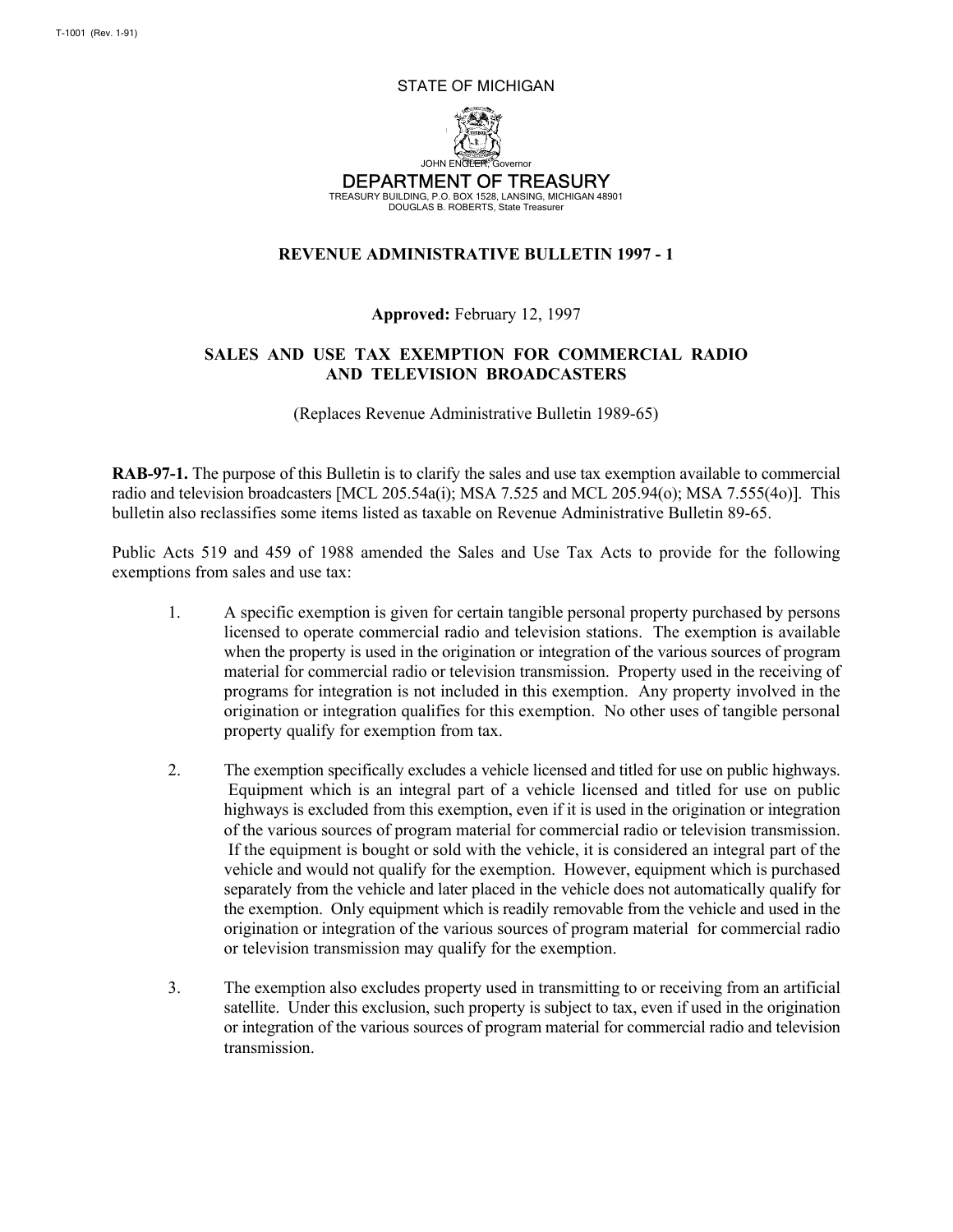#### STATE OF MICHIGAN



DEPARTMENT OF TREASURY

TREASURY BUILDING, P.O. BOX 1528, LANSING, MICHIGAN 48901 DOUGLAS B. ROBERTS, State Treasurer

#### **REVENUE ADMINISTRATIVE BULLETIN 1997 - 1**

### **Approved:** February 12, 1997

## **SALES AND USE TAX EXEMPTION FOR COMMERCIAL RADIO AND TELEVISION BROADCASTERS**

(Replaces Revenue Administrative Bulletin 1989-65)

**RAB-97-1.** The purpose of this Bulletin is to clarify the sales and use tax exemption available to commercial radio and television broadcasters [MCL 205.54a(i); MSA 7.525 and MCL 205.94(o); MSA 7.555(4o)]. This bulletin also reclassifies some items listed as taxable on Revenue Administrative Bulletin 89-65.

Public Acts 519 and 459 of 1988 amended the Sales and Use Tax Acts to provide for the following exemptions from sales and use tax:

- 1. A specific exemption is given for certain tangible personal property purchased by persons licensed to operate commercial radio and television stations. The exemption is available when the property is used in the origination or integration of the various sources of program material for commercial radio or television transmission. Property used in the receiving of programs for integration is not included in this exemption. Any property involved in the origination or integration qualifies for this exemption. No other uses of tangible personal property qualify for exemption from tax.
- 2. The exemption specifically excludes a vehicle licensed and titled for use on public highways. Equipment which is an integral part of a vehicle licensed and titled for use on public highways is excluded from this exemption, even if it is used in the origination or integration of the various sources of program material for commercial radio or television transmission. If the equipment is bought or sold with the vehicle, it is considered an integral part of the vehicle and would not qualify for the exemption. However, equipment which is purchased separately from the vehicle and later placed in the vehicle does not automatically qualify for the exemption. Only equipment which is readily removable from the vehicle and used in the origination or integration of the various sources of program material for commercial radio or television transmission may qualify for the exemption.
- 3. The exemption also excludes property used in transmitting to or receiving from an artificial satellite. Under this exclusion, such property is subject to tax, even if used in the origination or integration of the various sources of program material for commercial radio and television transmission.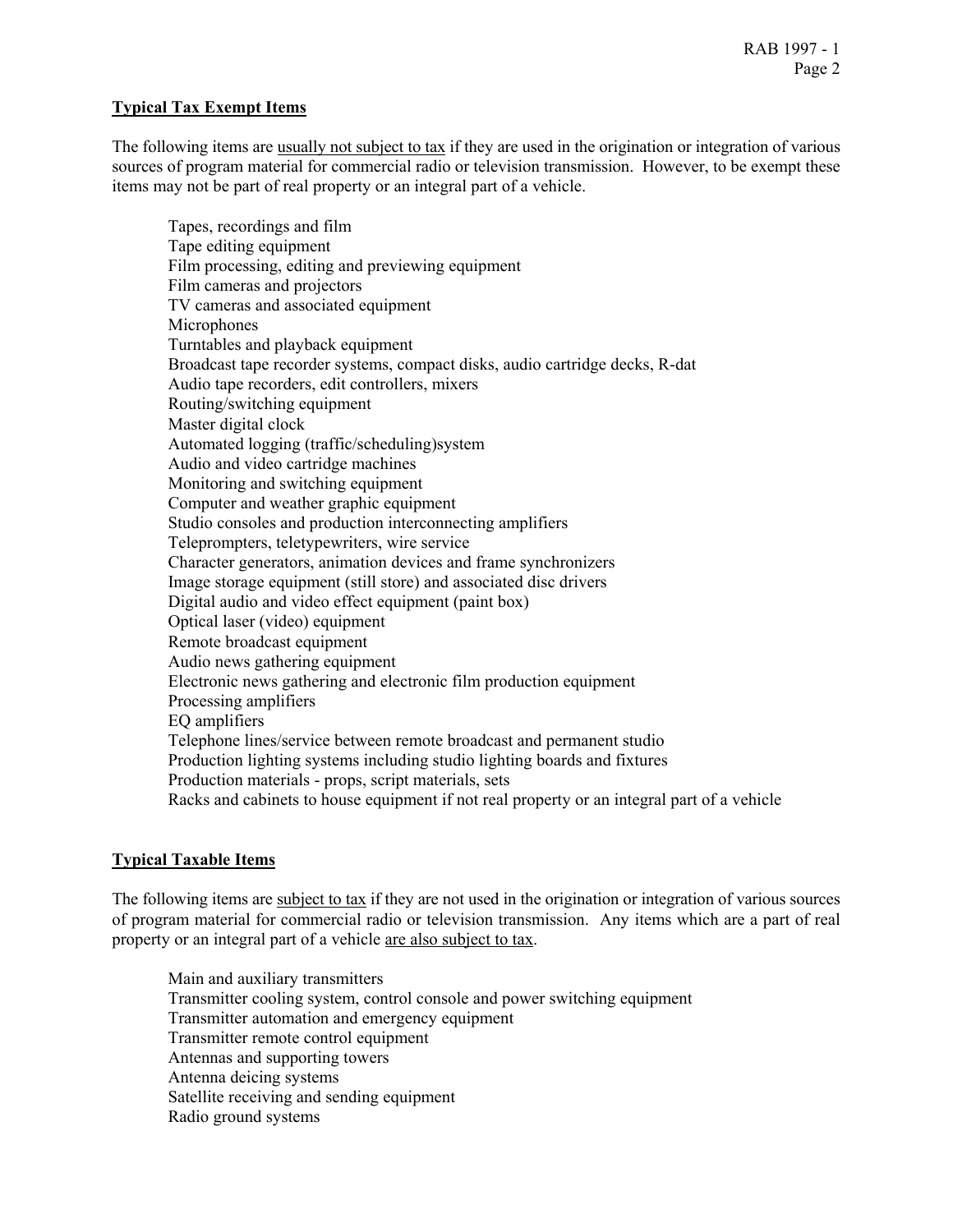## **Typical Tax Exempt Items**

The following items are usually not subject to tax if they are used in the origination or integration of various sources of program material for commercial radio or television transmission. However, to be exempt these items may not be part of real property or an integral part of a vehicle.

Tapes, recordings and film Tape editing equipment Film processing, editing and previewing equipment Film cameras and projectors TV cameras and associated equipment **Microphones** Turntables and playback equipment Broadcast tape recorder systems, compact disks, audio cartridge decks, R-dat Audio tape recorders, edit controllers, mixers Routing/switching equipment Master digital clock Automated logging (traffic/scheduling)system Audio and video cartridge machines Monitoring and switching equipment Computer and weather graphic equipment Studio consoles and production interconnecting amplifiers Teleprompters, teletypewriters, wire service Character generators, animation devices and frame synchronizers Image storage equipment (still store) and associated disc drivers Digital audio and video effect equipment (paint box) Optical laser (video) equipment Remote broadcast equipment Audio news gathering equipment Electronic news gathering and electronic film production equipment Processing amplifiers EQ amplifiers Telephone lines/service between remote broadcast and permanent studio Production lighting systems including studio lighting boards and fixtures Production materials - props, script materials, sets Racks and cabinets to house equipment if not real property or an integral part of a vehicle

### **Typical Taxable Items**

The following items are subject to tax if they are not used in the origination or integration of various sources of program material for commercial radio or television transmission. Any items which are a part of real property or an integral part of a vehicle are also subject to tax.

Main and auxiliary transmitters Transmitter cooling system, control console and power switching equipment Transmitter automation and emergency equipment Transmitter remote control equipment Antennas and supporting towers Antenna deicing systems Satellite receiving and sending equipment Radio ground systems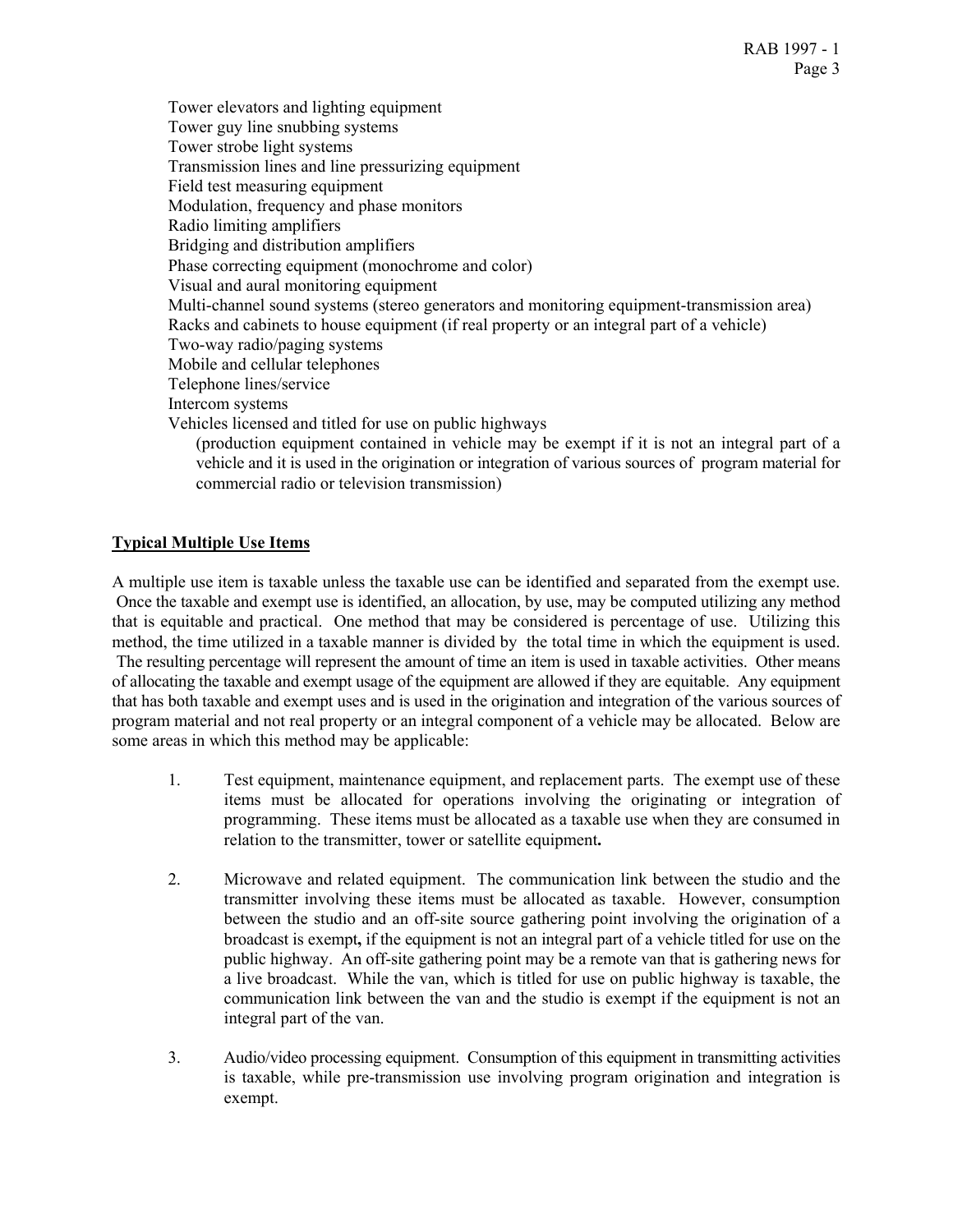Tower elevators and lighting equipment Tower guy line snubbing systems Tower strobe light systems Transmission lines and line pressurizing equipment Field test measuring equipment Modulation, frequency and phase monitors Radio limiting amplifiers Bridging and distribution amplifiers Phase correcting equipment (monochrome and color) Visual and aural monitoring equipment Multi-channel sound systems (stereo generators and monitoring equipment-transmission area) Racks and cabinets to house equipment (if real property or an integral part of a vehicle) Two-way radio/paging systems Mobile and cellular telephones Telephone lines/service Intercom systems Vehicles licensed and titled for use on public highways (production equipment contained in vehicle may be exempt if it is not an integral part of a vehicle and it is used in the origination or integration of various sources of program material for commercial radio or television transmission)

# **Typical Multiple Use Items**

A multiple use item is taxable unless the taxable use can be identified and separated from the exempt use. Once the taxable and exempt use is identified, an allocation, by use, may be computed utilizing any method that is equitable and practical. One method that may be considered is percentage of use. Utilizing this method, the time utilized in a taxable manner is divided by the total time in which the equipment is used. The resulting percentage will represent the amount of time an item is used in taxable activities. Other means of allocating the taxable and exempt usage of the equipment are allowed if they are equitable. Any equipment that has both taxable and exempt uses and is used in the origination and integration of the various sources of program material and not real property or an integral component of a vehicle may be allocated. Below are some areas in which this method may be applicable:

- 1. Test equipment, maintenance equipment, and replacement parts. The exempt use of these items must be allocated for operations involving the originating or integration of programming. These items must be allocated as a taxable use when they are consumed in relation to the transmitter, tower or satellite equipment**.**
- 2. Microwave and related equipment. The communication link between the studio and the transmitter involving these items must be allocated as taxable. However, consumption between the studio and an off-site source gathering point involving the origination of a broadcast is exempt**,** if the equipment is not an integral part of a vehicle titled for use on the public highway. An off-site gathering point may be a remote van that is gathering news for a live broadcast. While the van, which is titled for use on public highway is taxable, the communication link between the van and the studio is exempt if the equipment is not an integral part of the van.
- 3. Audio/video processing equipment. Consumption of this equipment in transmitting activities is taxable, while pre-transmission use involving program origination and integration is exempt.